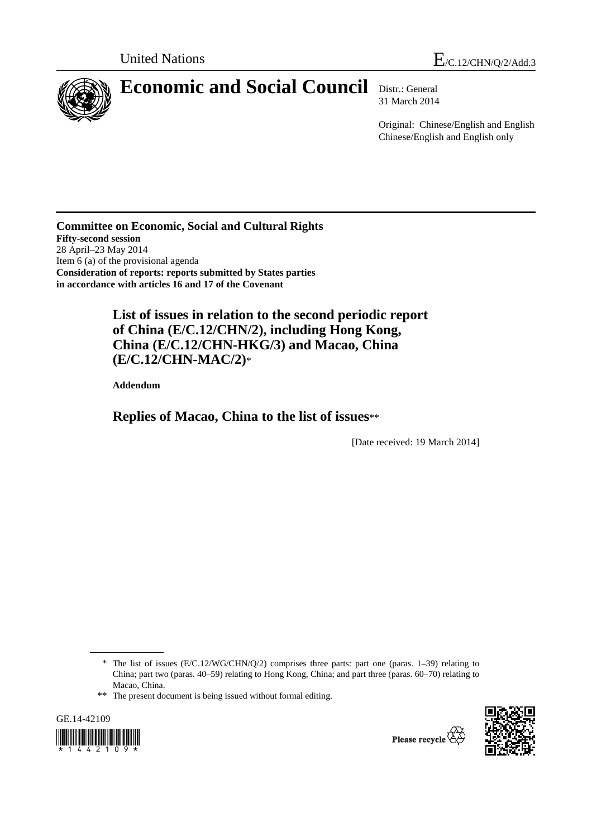

# **Economic and Social Council** Distr.: General

31 March 2014

Original: Chinese/English and English Chinese/English and English only

**Committee on Economic, Social and Cultural Rights Fifty-second session**  28 April–23 May 2014 Item 6 (a) of the provisional agenda **Consideration of reports: reports submitted by States parties in accordance with articles 16 and 17 of the Covenant** 

> **List of issues in relation to the second periodic report of China (E/C.12/CHN/2), including Hong Kong, China (E/C.12/CHN-HKG/3) and Macao, China (E/C.12/CHN-MAC/2)**\*

 **Addendum** 

 **Replies of Macao, China to the list of issues**\*\*

[Date received: 19 March 2014]

\*\* The present document is being issued without formal editing.





<sup>\*</sup> The list of issues (E/C.12/WG/CHN/Q/2) comprises three parts: part one (paras. 1–39) relating to China; part two (paras. 40–59) relating to Hong Kong, China; and part three (paras. 60–70) relating to Macao, China.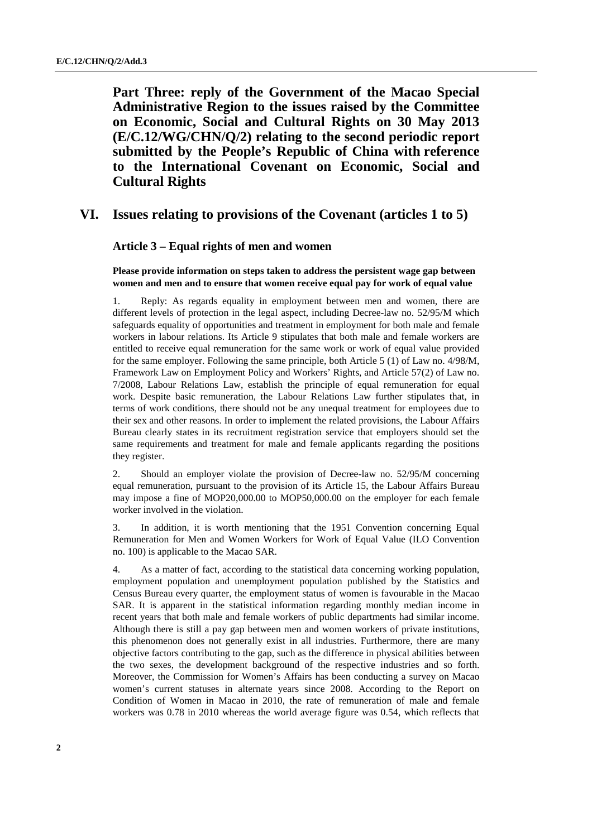**Part Three: reply of the Government of the Macao Special Administrative Region to the issues raised by the Committee on Economic, Social and Cultural Rights on 30 May 2013 (E/C.12/WG/CHN/Q/2) relating to the second periodic report submitted by the People's Republic of China with reference to the International Covenant on Economic, Social and Cultural Rights** 

# **VI. Issues relating to provisions of the Covenant (articles 1 to 5)**

# **Article 3 – Equal rights of men and women**

 **Please provide information on steps taken to address the persistent wage gap between women and men and to ensure that women receive equal pay for work of equal value** 

1. Reply: As regards equality in employment between men and women, there are different levels of protection in the legal aspect, including Decree-law no. 52/95/M which safeguards equality of opportunities and treatment in employment for both male and female workers in labour relations. Its Article 9 stipulates that both male and female workers are entitled to receive equal remuneration for the same work or work of equal value provided for the same employer. Following the same principle, both Article 5 (1) of Law no. 4/98/M, Framework Law on Employment Policy and Workers' Rights, and Article 57(2) of Law no. 7/2008, Labour Relations Law, establish the principle of equal remuneration for equal work. Despite basic remuneration, the Labour Relations Law further stipulates that, in terms of work conditions, there should not be any unequal treatment for employees due to their sex and other reasons. In order to implement the related provisions, the Labour Affairs Bureau clearly states in its recruitment registration service that employers should set the same requirements and treatment for male and female applicants regarding the positions they register.

2. Should an employer violate the provision of Decree-law no. 52/95/M concerning equal remuneration, pursuant to the provision of its Article 15, the Labour Affairs Bureau may impose a fine of MOP20,000.00 to MOP50,000.00 on the employer for each female worker involved in the violation.

3. In addition, it is worth mentioning that the 1951 Convention concerning Equal Remuneration for Men and Women Workers for Work of Equal Value (ILO Convention no. 100) is applicable to the Macao SAR.

4. As a matter of fact, according to the statistical data concerning working population, employment population and unemployment population published by the Statistics and Census Bureau every quarter, the employment status of women is favourable in the Macao SAR. It is apparent in the statistical information regarding monthly median income in recent years that both male and female workers of public departments had similar income. Although there is still a pay gap between men and women workers of private institutions, this phenomenon does not generally exist in all industries. Furthermore, there are many objective factors contributing to the gap, such as the difference in physical abilities between the two sexes, the development background of the respective industries and so forth. Moreover, the Commission for Women's Affairs has been conducting a survey on Macao women's current statuses in alternate years since 2008. According to the Report on Condition of Women in Macao in 2010, the rate of remuneration of male and female workers was 0.78 in 2010 whereas the world average figure was 0.54, which reflects that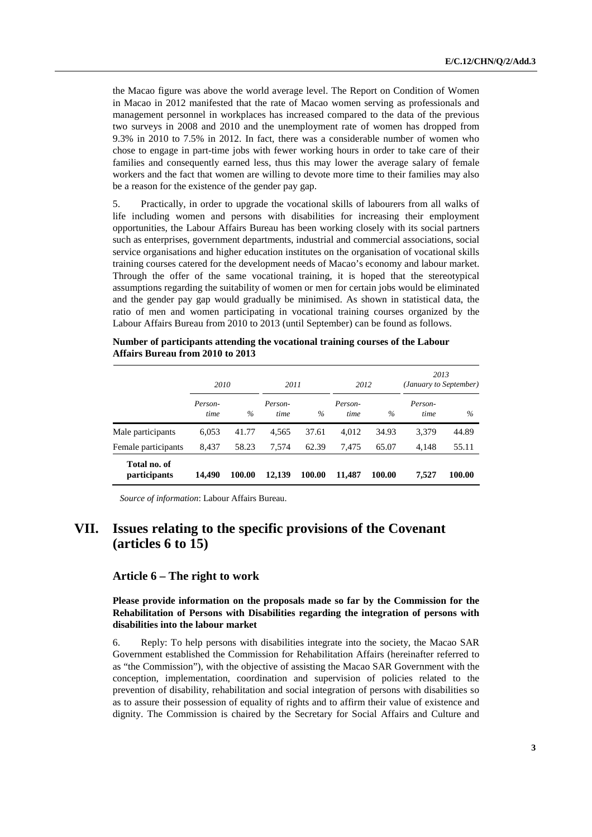the Macao figure was above the world average level. The Report on Condition of Women in Macao in 2012 manifested that the rate of Macao women serving as professionals and management personnel in workplaces has increased compared to the data of the previous two surveys in 2008 and 2010 and the unemployment rate of women has dropped from 9.3% in 2010 to 7.5% in 2012. In fact, there was a considerable number of women who chose to engage in part-time jobs with fewer working hours in order to take care of their families and consequently earned less, thus this may lower the average salary of female workers and the fact that women are willing to devote more time to their families may also be a reason for the existence of the gender pay gap.

5. Practically, in order to upgrade the vocational skills of labourers from all walks of life including women and persons with disabilities for increasing their employment opportunities, the Labour Affairs Bureau has been working closely with its social partners such as enterprises, government departments, industrial and commercial associations, social service organisations and higher education institutes on the organisation of vocational skills training courses catered for the development needs of Macao's economy and labour market. Through the offer of the same vocational training, it is hoped that the stereotypical assumptions regarding the suitability of women or men for certain jobs would be eliminated and the gender pay gap would gradually be minimised. As shown in statistical data, the ratio of men and women participating in vocational training courses organized by the Labour Affairs Bureau from 2010 to 2013 (until September) can be found as follows.

|                              | 2010            |        | 2011            |        | 2012            |        | 2013<br>(January to September) |        |  |
|------------------------------|-----------------|--------|-----------------|--------|-----------------|--------|--------------------------------|--------|--|
|                              | Person-<br>time | $\%$   | Person-<br>time | $\%$   | Person-<br>time | $\%$   | Person-<br>time                | $\%$   |  |
| Male participants            | 6,053           | 41.77  | 4,565           | 37.61  | 4,012           | 34.93  | 3,379                          | 44.89  |  |
| Female participants          | 8,437           | 58.23  | 7.574           | 62.39  | 7.475           | 65.07  | 4.148                          | 55.11  |  |
| Total no. of<br>participants | 14,490          | 100.00 | 12,139          | 100.00 | 11,487          | 100.00 | 7,527                          | 100.00 |  |

**Number of participants attending the vocational training courses of the Labour Affairs Bureau from 2010 to 2013** 

*Source of information*: Labour Affairs Bureau.

# **VII. Issues relating to the specific provisions of the Covenant (articles 6 to 15)**

#### **Article 6 – The right to work**

 **Please provide information on the proposals made so far by the Commission for the Rehabilitation of Persons with Disabilities regarding the integration of persons with disabilities into the labour market** 

6. Reply: To help persons with disabilities integrate into the society, the Macao SAR Government established the Commission for Rehabilitation Affairs (hereinafter referred to as "the Commission"), with the objective of assisting the Macao SAR Government with the conception, implementation, coordination and supervision of policies related to the prevention of disability, rehabilitation and social integration of persons with disabilities so as to assure their possession of equality of rights and to affirm their value of existence and dignity. The Commission is chaired by the Secretary for Social Affairs and Culture and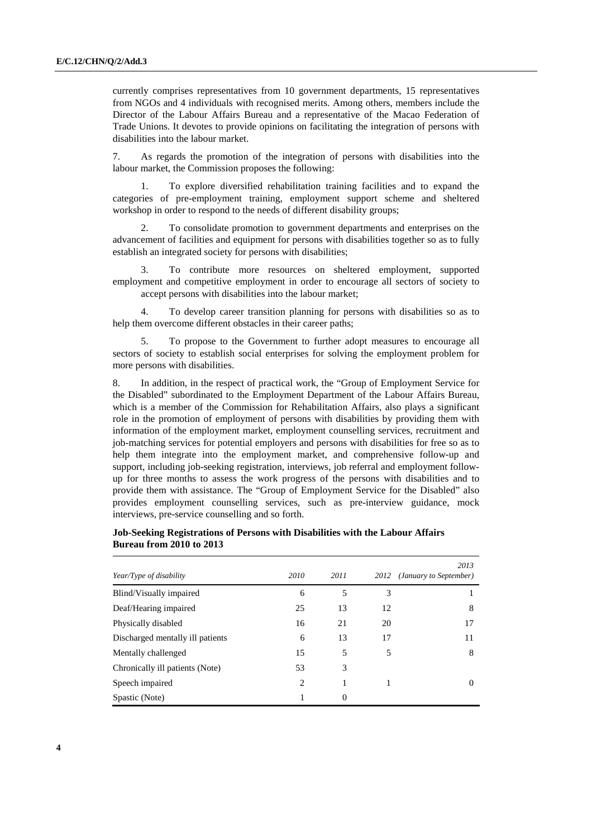currently comprises representatives from 10 government departments, 15 representatives from NGOs and 4 individuals with recognised merits. Among others, members include the Director of the Labour Affairs Bureau and a representative of the Macao Federation of Trade Unions. It devotes to provide opinions on facilitating the integration of persons with disabilities into the labour market.

7. As regards the promotion of the integration of persons with disabilities into the labour market, the Commission proposes the following:

 1. To explore diversified rehabilitation training facilities and to expand the categories of pre-employment training, employment support scheme and sheltered workshop in order to respond to the needs of different disability groups;

 2. To consolidate promotion to government departments and enterprises on the advancement of facilities and equipment for persons with disabilities together so as to fully establish an integrated society for persons with disabilities;

 3. To contribute more resources on sheltered employment, supported employment and competitive employment in order to encourage all sectors of society to accept persons with disabilities into the labour market;

 4. To develop career transition planning for persons with disabilities so as to help them overcome different obstacles in their career paths:

 5. To propose to the Government to further adopt measures to encourage all sectors of society to establish social enterprises for solving the employment problem for more persons with disabilities.

8. In addition, in the respect of practical work, the "Group of Employment Service for the Disabled" subordinated to the Employment Department of the Labour Affairs Bureau, which is a member of the Commission for Rehabilitation Affairs, also plays a significant role in the promotion of employment of persons with disabilities by providing them with information of the employment market, employment counselling services, recruitment and job-matching services for potential employers and persons with disabilities for free so as to help them integrate into the employment market, and comprehensive follow-up and support, including job-seeking registration, interviews, job referral and employment followup for three months to assess the work progress of the persons with disabilities and to provide them with assistance. The "Group of Employment Service for the Disabled" also provides employment counselling services, such as pre-interview guidance, mock interviews, pre-service counselling and so forth.

# **Job-Seeking Registrations of Persons with Disabilities with the Labour Affairs Bureau from 2010 to 2013**

| Year/Type of disability          | 2010           | 2011     | 2012 | 2013<br>(January to September) |
|----------------------------------|----------------|----------|------|--------------------------------|
| Blind/Visually impaired          | 6              | 5        | 3    |                                |
| Deaf/Hearing impaired            | 25             | 13       | 12   | 8                              |
| Physically disabled              | 16             | 21       | 20   | 17                             |
| Discharged mentally ill patients | 6              | 13       | 17   | 11                             |
| Mentally challenged              | 15             | 5        | 5    | 8                              |
| Chronically ill patients (Note)  | 53             | 3        |      |                                |
| Speech impaired                  | $\overline{c}$ |          | 1    | 0                              |
| Spastic (Note)                   | 1              | $\Omega$ |      |                                |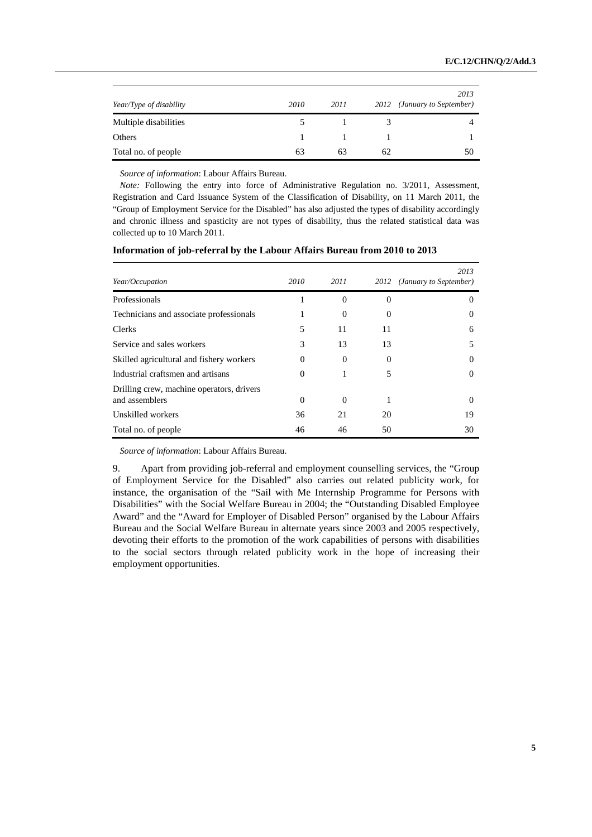| Year/Type of disability | 2010 | 2011 | 2012 | 2013<br>(January to September) |
|-------------------------|------|------|------|--------------------------------|
| Multiple disabilities   |      |      |      |                                |
| Others                  |      |      |      |                                |
| Total no. of people     | 63   | 63   | 62   | 50                             |

*Source of information*: Labour Affairs Bureau.

*Note:* Following the entry into force of Administrative Regulation no. 3/2011, Assessment, Registration and Card Issuance System of the Classification of Disability, on 11 March 2011, the "Group of Employment Service for the Disabled" has also adjusted the types of disability accordingly and chronic illness and spasticity are not types of disability, thus the related statistical data was collected up to 10 March 2011.

| Year/Occupation                                             | 2010     | 2011     |          | 2013<br>2012 (January to September) |
|-------------------------------------------------------------|----------|----------|----------|-------------------------------------|
| Professionals                                               |          | $\Omega$ | $\theta$ | $\theta$                            |
| Technicians and associate professionals                     |          | $\theta$ | 0        | $\theta$                            |
| Clerks                                                      | 5        | 11       | 11       | 6                                   |
| Service and sales workers                                   | 3        | 13       | 13       | 5                                   |
| Skilled agricultural and fishery workers                    | $\Omega$ | $\Omega$ | 0        | $\Omega$                            |
| Industrial craftsmen and artisans                           | $\Omega$ |          | 5        | $\theta$                            |
| Drilling crew, machine operators, drivers<br>and assemblers | $\Omega$ | $\Omega$ | 1        | $\theta$                            |
| Unskilled workers                                           | 36       | 21       | 20       | 19                                  |
| Total no. of people                                         | 46       | 46       | 50       | 30                                  |

**Information of job-referral by the Labour Affairs Bureau from 2010 to 2013** 

*Source of information*: Labour Affairs Bureau.

9. Apart from providing job-referral and employment counselling services, the "Group of Employment Service for the Disabled" also carries out related publicity work, for instance, the organisation of the "Sail with Me Internship Programme for Persons with Disabilities" with the Social Welfare Bureau in 2004; the "Outstanding Disabled Employee Award" and the "Award for Employer of Disabled Person" organised by the Labour Affairs Bureau and the Social Welfare Bureau in alternate years since 2003 and 2005 respectively, devoting their efforts to the promotion of the work capabilities of persons with disabilities to the social sectors through related publicity work in the hope of increasing their employment opportunities.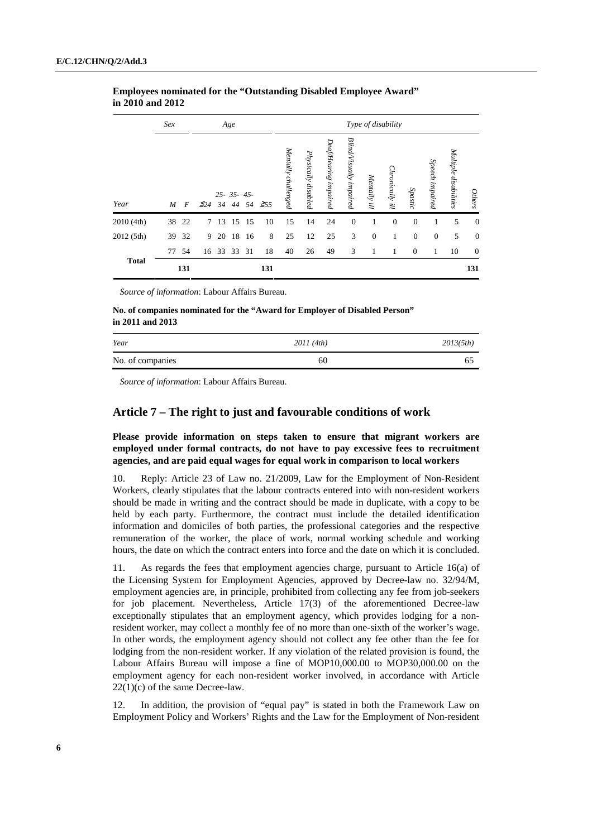|              | Sex              |       |              |       | Age            |       |           | Type of disability  |                     |                       |                         |              |                 |                |                 |                       |                  |
|--------------|------------------|-------|--------------|-------|----------------|-------|-----------|---------------------|---------------------|-----------------------|-------------------------|--------------|-----------------|----------------|-----------------|-----------------------|------------------|
| Year         | $\boldsymbol{M}$ | F     | $\leq 24$ 34 |       | $25 - 35 - 45$ | 44 54 | $\geq 55$ | Mentally challenged | Physically disabled | Deaf/Hearing impaired | Blind/Visually impaired | Mentally ill | Chronically ill | Spastic        | Speech impaired | Multiple disabilities | <b>Others</b>    |
| 2010(4th)    |                  | 38 22 | $7^{\circ}$  | 13    | 15             | 15    | 10        | 15                  | 14                  | 24                    | $\mathbf{0}$            | 1            | $\theta$        | $\mathbf{0}$   | 1               | 5                     | $\boldsymbol{0}$ |
| 2012 (5th)   | 39               | 32    | 9            | 20    | 18             | 16    | 8         | 25                  | 12                  | 25                    | 3                       | $\mathbf{0}$ | 1               | $\mathbf{0}$   | $\mathbf{0}$    | 5                     | $\mathbf{0}$     |
|              | 77               | 54    | 16           | 33 33 |                | 31    | 18        | 40                  | 26                  | 49                    | 3                       | 1            | 1               | $\overline{0}$ | 1               | 10                    | $\boldsymbol{0}$ |
| <b>Total</b> |                  | 131   |              |       |                |       | 131       |                     |                     |                       |                         |              |                 |                |                 |                       | 131              |

# **Employees nominated for the "Outstanding Disabled Employee Award" in 2010 and 2012**

*Source of information*: Labour Affairs Bureau.

**No. of companies nominated for the "Award for Employer of Disabled Person" in 2011 and 2013** 

| Year             | 2011(4th) | 2013(5th) |
|------------------|-----------|-----------|
| No. of companies | 60        |           |

*Source of information*: Labour Affairs Bureau.

# **Article 7 – The right to just and favourable conditions of work**

# **Please provide information on steps taken to ensure that migrant workers are employed under formal contracts, do not have to pay excessive fees to recruitment agencies, and are paid equal wages for equal work in comparison to local workers**

10. Reply: Article 23 of Law no. 21/2009, Law for the Employment of Non-Resident Workers, clearly stipulates that the labour contracts entered into with non-resident workers should be made in writing and the contract should be made in duplicate, with a copy to be held by each party. Furthermore, the contract must include the detailed identification information and domiciles of both parties, the professional categories and the respective remuneration of the worker, the place of work, normal working schedule and working hours, the date on which the contract enters into force and the date on which it is concluded.

11. As regards the fees that employment agencies charge, pursuant to Article 16(a) of the Licensing System for Employment Agencies, approved by Decree-law no. 32/94/M, employment agencies are, in principle, prohibited from collecting any fee from job-seekers for job placement. Nevertheless, Article 17(3) of the aforementioned Decree-law exceptionally stipulates that an employment agency, which provides lodging for a nonresident worker, may collect a monthly fee of no more than one-sixth of the worker's wage. In other words, the employment agency should not collect any fee other than the fee for lodging from the non-resident worker. If any violation of the related provision is found, the Labour Affairs Bureau will impose a fine of MOP10,000.00 to MOP30,000.00 on the employment agency for each non-resident worker involved, in accordance with Article 22(1)(c) of the same Decree-law.

12. In addition, the provision of "equal pay" is stated in both the Framework Law on Employment Policy and Workers' Rights and the Law for the Employment of Non-resident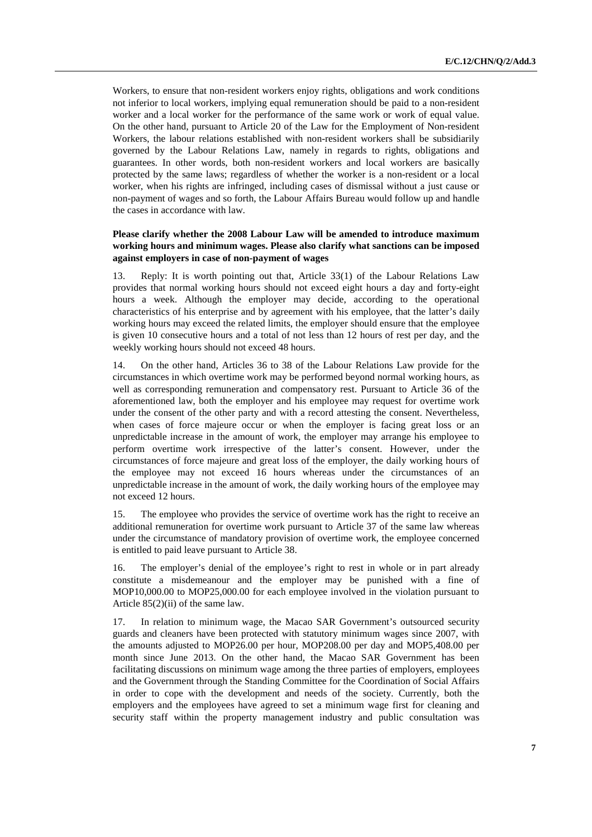Workers, to ensure that non-resident workers enjoy rights, obligations and work conditions not inferior to local workers, implying equal remuneration should be paid to a non-resident worker and a local worker for the performance of the same work or work of equal value. On the other hand, pursuant to Article 20 of the Law for the Employment of Non-resident Workers, the labour relations established with non-resident workers shall be subsidiarily governed by the Labour Relations Law, namely in regards to rights, obligations and guarantees. In other words, both non-resident workers and local workers are basically protected by the same laws; regardless of whether the worker is a non-resident or a local worker, when his rights are infringed, including cases of dismissal without a just cause or non-payment of wages and so forth, the Labour Affairs Bureau would follow up and handle the cases in accordance with law.

# **Please clarify whether the 2008 Labour Law will be amended to introduce maximum working hours and minimum wages. Please also clarify what sanctions can be imposed against employers in case of non-payment of wages**

13. Reply: It is worth pointing out that, Article 33(1) of the Labour Relations Law provides that normal working hours should not exceed eight hours a day and forty-eight hours a week. Although the employer may decide, according to the operational characteristics of his enterprise and by agreement with his employee, that the latter's daily working hours may exceed the related limits, the employer should ensure that the employee is given 10 consecutive hours and a total of not less than 12 hours of rest per day, and the weekly working hours should not exceed 48 hours.

14. On the other hand, Articles 36 to 38 of the Labour Relations Law provide for the circumstances in which overtime work may be performed beyond normal working hours, as well as corresponding remuneration and compensatory rest. Pursuant to Article 36 of the aforementioned law, both the employer and his employee may request for overtime work under the consent of the other party and with a record attesting the consent. Nevertheless, when cases of force majeure occur or when the employer is facing great loss or an unpredictable increase in the amount of work, the employer may arrange his employee to perform overtime work irrespective of the latter's consent. However, under the circumstances of force majeure and great loss of the employer, the daily working hours of the employee may not exceed 16 hours whereas under the circumstances of an unpredictable increase in the amount of work, the daily working hours of the employee may not exceed 12 hours.

15. The employee who provides the service of overtime work has the right to receive an additional remuneration for overtime work pursuant to Article 37 of the same law whereas under the circumstance of mandatory provision of overtime work, the employee concerned is entitled to paid leave pursuant to Article 38.

16. The employer's denial of the employee's right to rest in whole or in part already constitute a misdemeanour and the employer may be punished with a fine of MOP10,000.00 to MOP25,000.00 for each employee involved in the violation pursuant to Article 85(2)(ii) of the same law.

In relation to minimum wage, the Macao SAR Government's outsourced security guards and cleaners have been protected with statutory minimum wages since 2007, with the amounts adjusted to MOP26.00 per hour, MOP208.00 per day and MOP5,408.00 per month since June 2013. On the other hand, the Macao SAR Government has been facilitating discussions on minimum wage among the three parties of employers, employees and the Government through the Standing Committee for the Coordination of Social Affairs in order to cope with the development and needs of the society. Currently, both the employers and the employees have agreed to set a minimum wage first for cleaning and security staff within the property management industry and public consultation was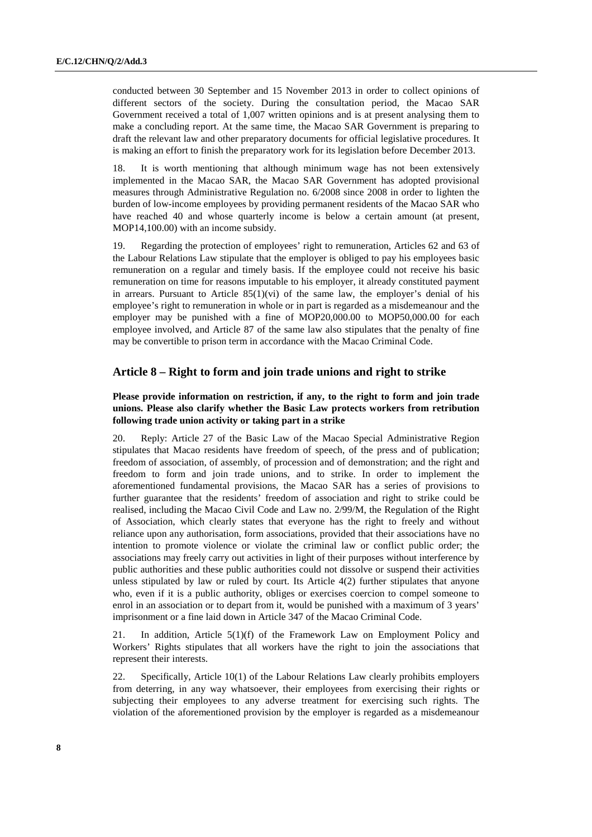conducted between 30 September and 15 November 2013 in order to collect opinions of different sectors of the society. During the consultation period, the Macao SAR Government received a total of 1,007 written opinions and is at present analysing them to make a concluding report. At the same time, the Macao SAR Government is preparing to draft the relevant law and other preparatory documents for official legislative procedures. It is making an effort to finish the preparatory work for its legislation before December 2013.

18. It is worth mentioning that although minimum wage has not been extensively implemented in the Macao SAR, the Macao SAR Government has adopted provisional measures through Administrative Regulation no. 6/2008 since 2008 in order to lighten the burden of low-income employees by providing permanent residents of the Macao SAR who have reached 40 and whose quarterly income is below a certain amount (at present, MOP14,100.00) with an income subsidy.

19. Regarding the protection of employees' right to remuneration, Articles 62 and 63 of the Labour Relations Law stipulate that the employer is obliged to pay his employees basic remuneration on a regular and timely basis. If the employee could not receive his basic remuneration on time for reasons imputable to his employer, it already constituted payment in arrears. Pursuant to Article  $85(1)(vi)$  of the same law, the employer's denial of his employee's right to remuneration in whole or in part is regarded as a misdemeanour and the employer may be punished with a fine of MOP20,000.00 to MOP50,000.00 for each employee involved, and Article 87 of the same law also stipulates that the penalty of fine may be convertible to prison term in accordance with the Macao Criminal Code.

# **Article 8 – Right to form and join trade unions and right to strike**

 **Please provide information on restriction, if any, to the right to form and join trade unions. Please also clarify whether the Basic Law protects workers from retribution following trade union activity or taking part in a strike** 

20. Reply: Article 27 of the Basic Law of the Macao Special Administrative Region stipulates that Macao residents have freedom of speech, of the press and of publication; freedom of association, of assembly, of procession and of demonstration; and the right and freedom to form and join trade unions, and to strike. In order to implement the aforementioned fundamental provisions, the Macao SAR has a series of provisions to further guarantee that the residents' freedom of association and right to strike could be realised, including the Macao Civil Code and Law no. 2/99/M, the Regulation of the Right of Association, which clearly states that everyone has the right to freely and without reliance upon any authorisation, form associations, provided that their associations have no intention to promote violence or violate the criminal law or conflict public order; the associations may freely carry out activities in light of their purposes without interference by public authorities and these public authorities could not dissolve or suspend their activities unless stipulated by law or ruled by court. Its Article  $4(2)$  further stipulates that anyone who, even if it is a public authority, obliges or exercises coercion to compel someone to enrol in an association or to depart from it, would be punished with a maximum of 3 years' imprisonment or a fine laid down in Article 347 of the Macao Criminal Code.

21. In addition, Article 5(1)(f) of the Framework Law on Employment Policy and Workers' Rights stipulates that all workers have the right to join the associations that represent their interests.

22. Specifically, Article 10(1) of the Labour Relations Law clearly prohibits employers from deterring, in any way whatsoever, their employees from exercising their rights or subjecting their employees to any adverse treatment for exercising such rights. The violation of the aforementioned provision by the employer is regarded as a misdemeanour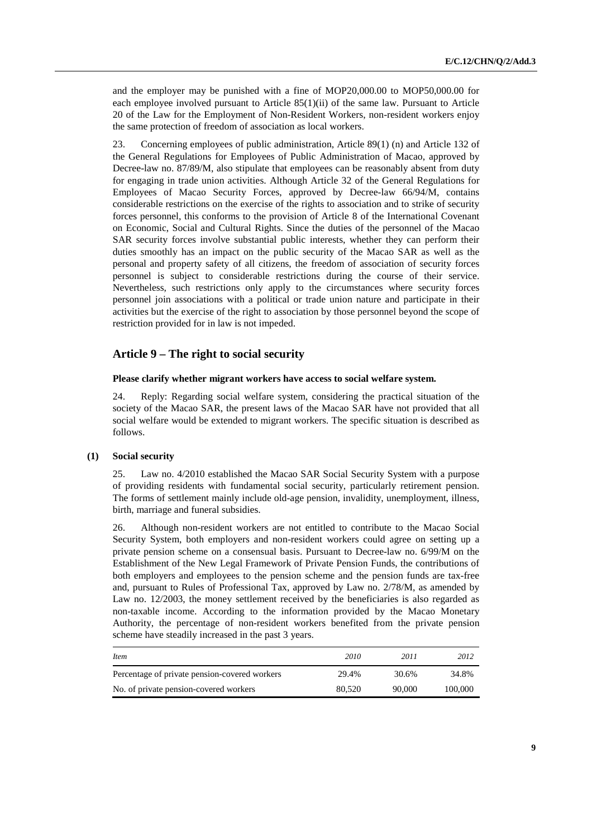and the employer may be punished with a fine of MOP20,000.00 to MOP50,000.00 for each employee involved pursuant to Article 85(1)(ii) of the same law. Pursuant to Article 20 of the Law for the Employment of Non-Resident Workers, non-resident workers enjoy the same protection of freedom of association as local workers.

23. Concerning employees of public administration, Article 89(1) (n) and Article 132 of the General Regulations for Employees of Public Administration of Macao, approved by Decree-law no. 87/89/M, also stipulate that employees can be reasonably absent from duty for engaging in trade union activities. Although Article 32 of the General Regulations for Employees of Macao Security Forces, approved by Decree-law 66/94/M, contains considerable restrictions on the exercise of the rights to association and to strike of security forces personnel, this conforms to the provision of Article 8 of the International Covenant on Economic, Social and Cultural Rights. Since the duties of the personnel of the Macao SAR security forces involve substantial public interests, whether they can perform their duties smoothly has an impact on the public security of the Macao SAR as well as the personal and property safety of all citizens, the freedom of association of security forces personnel is subject to considerable restrictions during the course of their service. Nevertheless, such restrictions only apply to the circumstances where security forces personnel join associations with a political or trade union nature and participate in their activities but the exercise of the right to association by those personnel beyond the scope of restriction provided for in law is not impeded.

# **Article 9 – The right to social security**

#### **Please clarify whether migrant workers have access to social welfare system.**

24. Reply: Regarding social welfare system, considering the practical situation of the society of the Macao SAR, the present laws of the Macao SAR have not provided that all social welfare would be extended to migrant workers. The specific situation is described as follows.

#### **(1) Social security**

25. Law no. 4/2010 established the Macao SAR Social Security System with a purpose of providing residents with fundamental social security, particularly retirement pension. The forms of settlement mainly include old-age pension, invalidity, unemployment, illness, birth, marriage and funeral subsidies.

26. Although non-resident workers are not entitled to contribute to the Macao Social Security System, both employers and non-resident workers could agree on setting up a private pension scheme on a consensual basis. Pursuant to Decree-law no. 6/99/M on the Establishment of the New Legal Framework of Private Pension Funds, the contributions of both employers and employees to the pension scheme and the pension funds are tax-free and, pursuant to Rules of Professional Tax, approved by Law no. 2/78/M, as amended by Law no. 12/2003, the money settlement received by the beneficiaries is also regarded as non-taxable income. According to the information provided by the Macao Monetary Authority, the percentage of non-resident workers benefited from the private pension scheme have steadily increased in the past 3 years.

| Item                                          | 2010   | 2011   | 2012    |
|-----------------------------------------------|--------|--------|---------|
| Percentage of private pension-covered workers | 29.4%  | 30.6%  | 34.8%   |
| No. of private pension-covered workers        | 80,520 | 90,000 | 100,000 |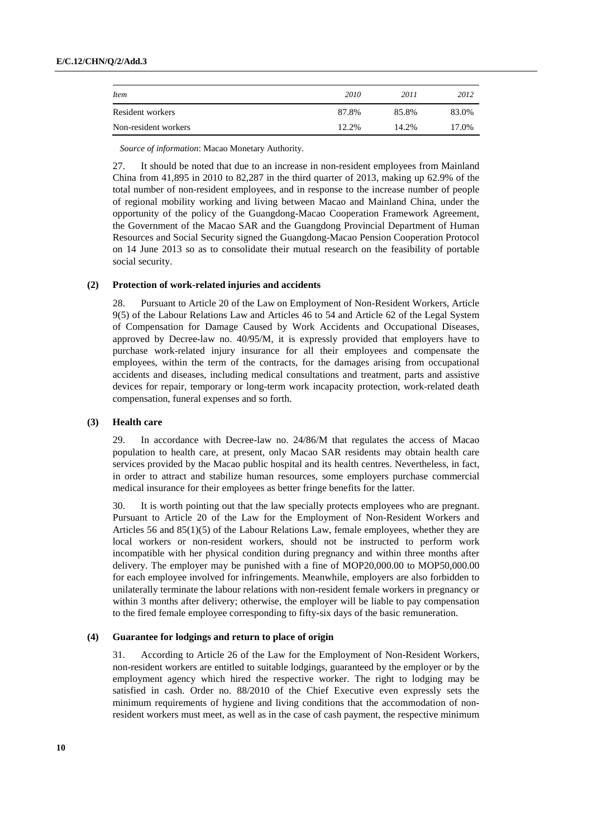| <i>Item</i>          | 2010  | 2011  | 2012  |
|----------------------|-------|-------|-------|
| Resident workers     | 87.8% | 85.8% | 83.0% |
| Non-resident workers | 12.2% | 14.2% | 17.0% |

*Source of information*: Macao Monetary Authority.

27. It should be noted that due to an increase in non-resident employees from Mainland China from  $41,895$  in 2010 to  $82,287$  in the third quarter of 2013, making up  $62.9\%$  of the total number of non-resident employees, and in response to the increase number of people of regional mobility working and living between Macao and Mainland China, under the opportunity of the policy of the Guangdong-Macao Cooperation Framework Agreement, the Government of the Macao SAR and the Guangdong Provincial Department of Human Resources and Social Security signed the Guangdong-Macao Pension Cooperation Protocol on 14 June 2013 so as to consolidate their mutual research on the feasibility of portable social security.

#### **(2) Protection of work-related injuries and accidents**

28. Pursuant to Article 20 of the Law on Employment of Non-Resident Workers, Article 9(5) of the Labour Relations Law and Articles 46 to 54 and Article 62 of the Legal System of Compensation for Damage Caused by Work Accidents and Occupational Diseases, approved by Decree-law no. 40/95/M, it is expressly provided that employers have to purchase work-related injury insurance for all their employees and compensate the employees, within the term of the contracts, for the damages arising from occupational accidents and diseases, including medical consultations and treatment, parts and assistive devices for repair, temporary or long-term work incapacity protection, work-related death compensation, funeral expenses and so forth.

#### **(3) Health care**

29. In accordance with Decree-law no. 24/86/M that regulates the access of Macao population to health care, at present, only Macao SAR residents may obtain health care services provided by the Macao public hospital and its health centres. Nevertheless, in fact, in order to attract and stabilize human resources, some employers purchase commercial medical insurance for their employees as better fringe benefits for the latter.

30. It is worth pointing out that the law specially protects employees who are pregnant. Pursuant to Article 20 of the Law for the Employment of Non-Resident Workers and Articles 56 and 85(1)(5) of the Labour Relations Law, female employees, whether they are local workers or non-resident workers, should not be instructed to perform work incompatible with her physical condition during pregnancy and within three months after delivery. The employer may be punished with a fine of MOP20,000.00 to MOP50,000.00 for each employee involved for infringements. Meanwhile, employers are also forbidden to unilaterally terminate the labour relations with non-resident female workers in pregnancy or within 3 months after delivery; otherwise, the employer will be liable to pay compensation to the fired female employee corresponding to fifty-six days of the basic remuneration.

### **(4) Guarantee for lodgings and return to place of origin**

31. According to Article 26 of the Law for the Employment of Non-Resident Workers, non-resident workers are entitled to suitable lodgings, guaranteed by the employer or by the employment agency which hired the respective worker. The right to lodging may be satisfied in cash. Order no. 88/2010 of the Chief Executive even expressly sets the minimum requirements of hygiene and living conditions that the accommodation of nonresident workers must meet, as well as in the case of cash payment, the respective minimum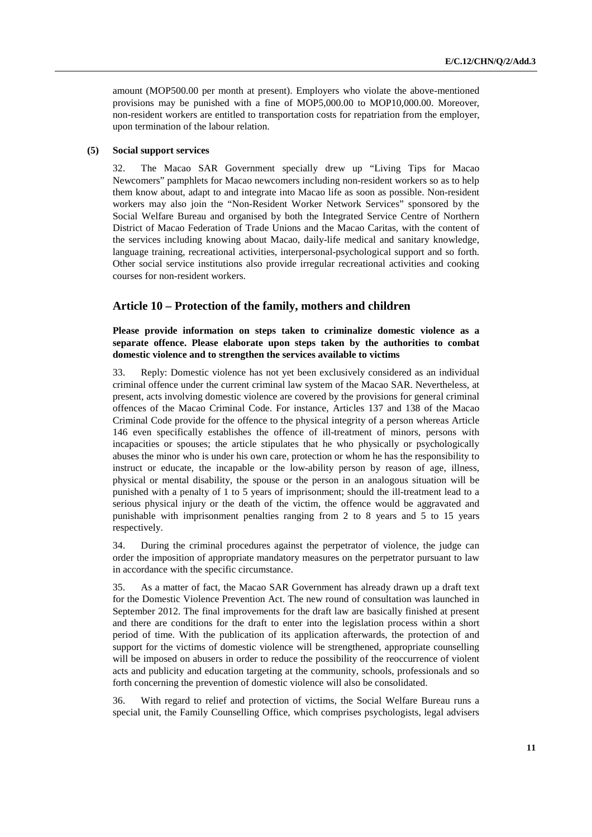amount (MOP500.00 per month at present). Employers who violate the above-mentioned provisions may be punished with a fine of MOP5,000.00 to MOP10,000.00. Moreover, non-resident workers are entitled to transportation costs for repatriation from the employer, upon termination of the labour relation.

#### **(5) Social support services**

32. The Macao SAR Government specially drew up "Living Tips for Macao Newcomers" pamphlets for Macao newcomers including non-resident workers so as to help them know about, adapt to and integrate into Macao life as soon as possible. Non-resident workers may also join the "Non-Resident Worker Network Services" sponsored by the Social Welfare Bureau and organised by both the Integrated Service Centre of Northern District of Macao Federation of Trade Unions and the Macao Caritas, with the content of the services including knowing about Macao, daily-life medical and sanitary knowledge, language training, recreational activities, interpersonal-psychological support and so forth. Other social service institutions also provide irregular recreational activities and cooking courses for non-resident workers.

# **Article 10 – Protection of the family, mothers and children**

 **Please provide information on steps taken to criminalize domestic violence as a separate offence. Please elaborate upon steps taken by the authorities to combat domestic violence and to strengthen the services available to victims** 

33. Reply: Domestic violence has not yet been exclusively considered as an individual criminal offence under the current criminal law system of the Macao SAR. Nevertheless, at present, acts involving domestic violence are covered by the provisions for general criminal offences of the Macao Criminal Code. For instance, Articles 137 and 138 of the Macao Criminal Code provide for the offence to the physical integrity of a person whereas Article 146 even specifically establishes the offence of ill-treatment of minors, persons with incapacities or spouses; the article stipulates that he who physically or psychologically abuses the minor who is under his own care, protection or whom he has the responsibility to instruct or educate, the incapable or the low-ability person by reason of age, illness, physical or mental disability, the spouse or the person in an analogous situation will be punished with a penalty of 1 to 5 years of imprisonment; should the ill-treatment lead to a serious physical injury or the death of the victim, the offence would be aggravated and punishable with imprisonment penalties ranging from 2 to 8 years and 5 to 15 years respectively.

34. During the criminal procedures against the perpetrator of violence, the judge can order the imposition of appropriate mandatory measures on the perpetrator pursuant to law in accordance with the specific circumstance.

35. As a matter of fact, the Macao SAR Government has already drawn up a draft text for the Domestic Violence Prevention Act. The new round of consultation was launched in September 2012. The final improvements for the draft law are basically finished at present and there are conditions for the draft to enter into the legislation process within a short period of time. With the publication of its application afterwards, the protection of and support for the victims of domestic violence will be strengthened, appropriate counselling will be imposed on abusers in order to reduce the possibility of the reoccurrence of violent acts and publicity and education targeting at the community, schools, professionals and so forth concerning the prevention of domestic violence will also be consolidated.

36. With regard to relief and protection of victims, the Social Welfare Bureau runs a special unit, the Family Counselling Office, which comprises psychologists, legal advisers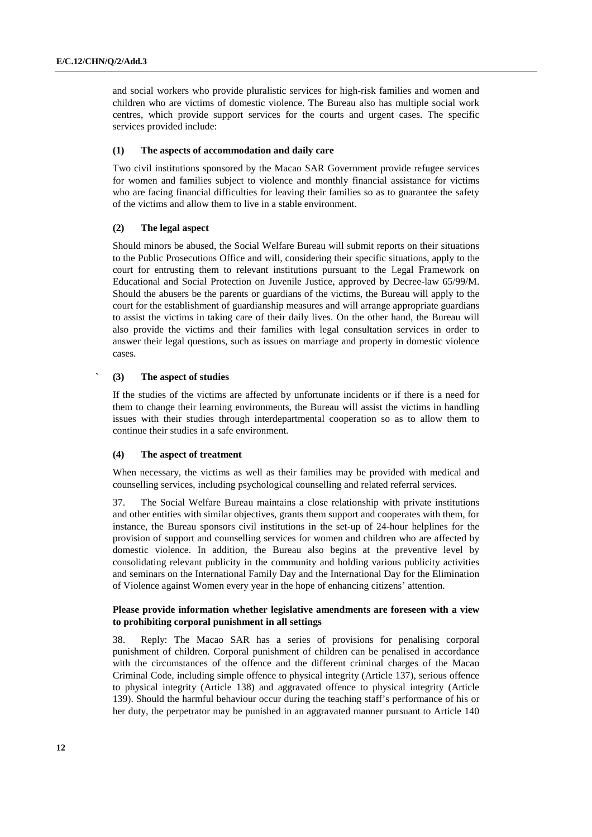and social workers who provide pluralistic services for high-risk families and women and children who are victims of domestic violence. The Bureau also has multiple social work centres, which provide support services for the courts and urgent cases. The specific services provided include:

#### **(1) The aspects of accommodation and daily care**

Two civil institutions sponsored by the Macao SAR Government provide refugee services for women and families subject to violence and monthly financial assistance for victims who are facing financial difficulties for leaving their families so as to guarantee the safety of the victims and allow them to live in a stable environment.

#### **(2) The legal aspect**

Should minors be abused, the Social Welfare Bureau will submit reports on their situations to the Public Prosecutions Office and will, considering their specific situations, apply to the court for entrusting them to relevant institutions pursuant to the Legal Framework on Educational and Social Protection on Juvenile Justice, approved by Decree-law 65/99/M. Should the abusers be the parents or guardians of the victims, the Bureau will apply to the court for the establishment of guardianship measures and will arrange appropriate guardians to assist the victims in taking care of their daily lives. On the other hand, the Bureau will also provide the victims and their families with legal consultation services in order to answer their legal questions, such as issues on marriage and property in domestic violence cases.

#### **` (3) The aspect of studies**

If the studies of the victims are affected by unfortunate incidents or if there is a need for them to change their learning environments, the Bureau will assist the victims in handling issues with their studies through interdepartmental cooperation so as to allow them to continue their studies in a safe environment.

#### **(4) The aspect of treatment**

When necessary, the victims as well as their families may be provided with medical and counselling services, including psychological counselling and related referral services.

37. The Social Welfare Bureau maintains a close relationship with private institutions and other entities with similar objectives, grants them support and cooperates with them, for instance, the Bureau sponsors civil institutions in the set-up of 24-hour helplines for the provision of support and counselling services for women and children who are affected by domestic violence. In addition, the Bureau also begins at the preventive level by consolidating relevant publicity in the community and holding various publicity activities and seminars on the International Family Day and the International Day for the Elimination of Violence against Women every year in the hope of enhancing citizens' attention.

#### **Please provide information whether legislative amendments are foreseen with a view to prohibiting corporal punishment in all settings**

38. Reply: The Macao SAR has a series of provisions for penalising corporal punishment of children. Corporal punishment of children can be penalised in accordance with the circumstances of the offence and the different criminal charges of the Macao Criminal Code, including simple offence to physical integrity (Article 137), serious offence to physical integrity (Article 138) and aggravated offence to physical integrity (Article 139). Should the harmful behaviour occur during the teaching staff's performance of his or her duty, the perpetrator may be punished in an aggravated manner pursuant to Article 140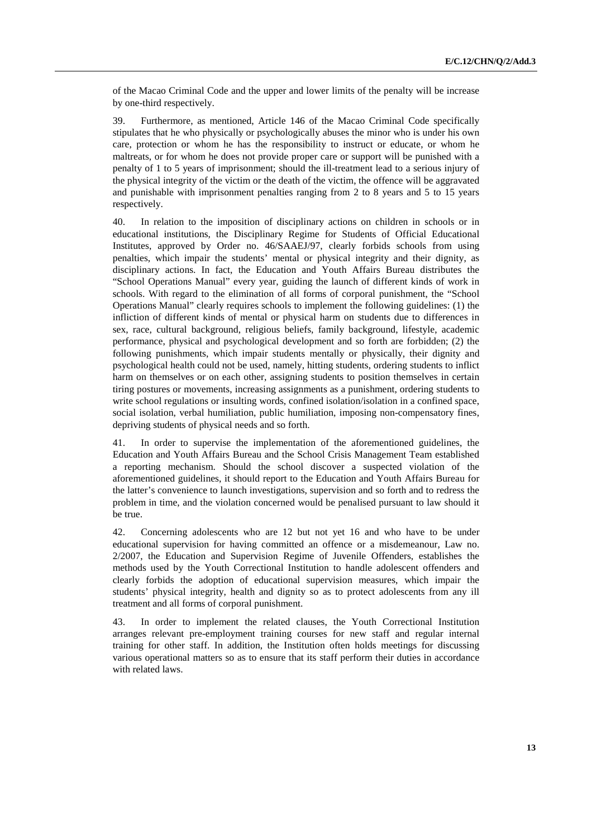of the Macao Criminal Code and the upper and lower limits of the penalty will be increase by one-third respectively.

39. Furthermore, as mentioned, Article 146 of the Macao Criminal Code specifically stipulates that he who physically or psychologically abuses the minor who is under his own care, protection or whom he has the responsibility to instruct or educate, or whom he maltreats, or for whom he does not provide proper care or support will be punished with a penalty of 1 to 5 years of imprisonment; should the ill-treatment lead to a serious injury of the physical integrity of the victim or the death of the victim, the offence will be aggravated and punishable with imprisonment penalties ranging from 2 to 8 years and 5 to 15 years respectively.

40. In relation to the imposition of disciplinary actions on children in schools or in educational institutions, the Disciplinary Regime for Students of Official Educational Institutes, approved by Order no. 46/SAAEJ/97, clearly forbids schools from using penalties, which impair the students' mental or physical integrity and their dignity, as disciplinary actions. In fact, the Education and Youth Affairs Bureau distributes the "School Operations Manual" every year, guiding the launch of different kinds of work in schools. With regard to the elimination of all forms of corporal punishment, the "School Operations Manual" clearly requires schools to implement the following guidelines: (1) the infliction of different kinds of mental or physical harm on students due to differences in sex, race, cultural background, religious beliefs, family background, lifestyle, academic performance, physical and psychological development and so forth are forbidden; (2) the following punishments, which impair students mentally or physically, their dignity and psychological health could not be used, namely, hitting students, ordering students to inflict harm on themselves or on each other, assigning students to position themselves in certain tiring postures or movements, increasing assignments as a punishment, ordering students to write school regulations or insulting words, confined isolation/isolation in a confined space, social isolation, verbal humiliation, public humiliation, imposing non-compensatory fines, depriving students of physical needs and so forth.

41. In order to supervise the implementation of the aforementioned guidelines, the Education and Youth Affairs Bureau and the School Crisis Management Team established a reporting mechanism. Should the school discover a suspected violation of the aforementioned guidelines, it should report to the Education and Youth Affairs Bureau for the latter's convenience to launch investigations, supervision and so forth and to redress the problem in time, and the violation concerned would be penalised pursuant to law should it be true.

42. Concerning adolescents who are 12 but not yet 16 and who have to be under educational supervision for having committed an offence or a misdemeanour, Law no. 2/2007, the Education and Supervision Regime of Juvenile Offenders, establishes the methods used by the Youth Correctional Institution to handle adolescent offenders and clearly forbids the adoption of educational supervision measures, which impair the students' physical integrity, health and dignity so as to protect adolescents from any ill treatment and all forms of corporal punishment.

43. In order to implement the related clauses, the Youth Correctional Institution arranges relevant pre-employment training courses for new staff and regular internal training for other staff. In addition, the Institution often holds meetings for discussing various operational matters so as to ensure that its staff perform their duties in accordance with related laws.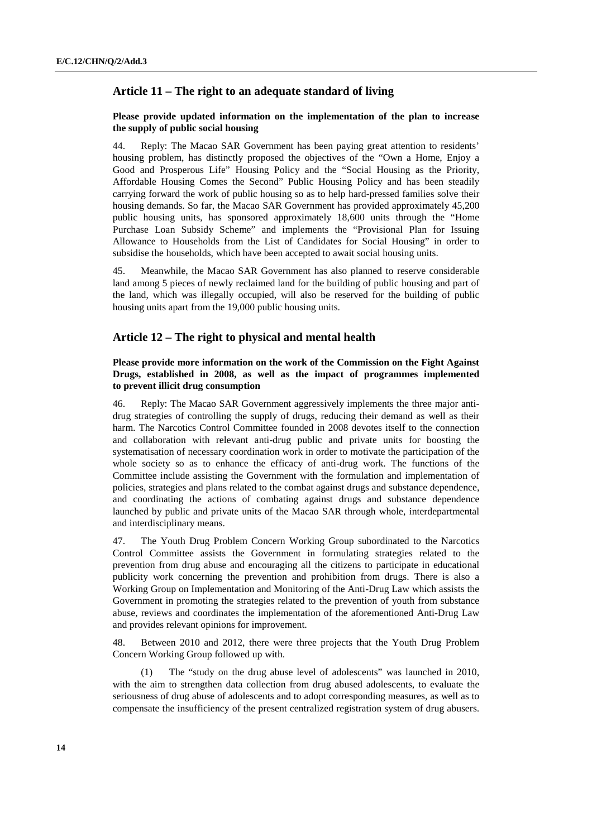# **Article 11 – The right to an adequate standard of living**

#### **Please provide updated information on the implementation of the plan to increase the supply of public social housing**

44. Reply: The Macao SAR Government has been paying great attention to residents' housing problem, has distinctly proposed the objectives of the "Own a Home, Enjoy a Good and Prosperous Life" Housing Policy and the "Social Housing as the Priority, Affordable Housing Comes the Second" Public Housing Policy and has been steadily carrying forward the work of public housing so as to help hard-pressed families solve their housing demands. So far, the Macao SAR Government has provided approximately 45,200 public housing units, has sponsored approximately 18,600 units through the "Home Purchase Loan Subsidy Scheme" and implements the "Provisional Plan for Issuing Allowance to Households from the List of Candidates for Social Housing" in order to subsidise the households, which have been accepted to await social housing units.

45. Meanwhile, the Macao SAR Government has also planned to reserve considerable land among 5 pieces of newly reclaimed land for the building of public housing and part of the land, which was illegally occupied, will also be reserved for the building of public housing units apart from the 19,000 public housing units.

# **Article 12 – The right to physical and mental health**

## **Please provide more information on the work of the Commission on the Fight Against Drugs, established in 2008, as well as the impact of programmes implemented to prevent illicit drug consumption**

46. Reply: The Macao SAR Government aggressively implements the three major antidrug strategies of controlling the supply of drugs, reducing their demand as well as their harm. The Narcotics Control Committee founded in 2008 devotes itself to the connection and collaboration with relevant anti-drug public and private units for boosting the systematisation of necessary coordination work in order to motivate the participation of the whole society so as to enhance the efficacy of anti-drug work. The functions of the Committee include assisting the Government with the formulation and implementation of policies, strategies and plans related to the combat against drugs and substance dependence, and coordinating the actions of combating against drugs and substance dependence launched by public and private units of the Macao SAR through whole, interdepartmental and interdisciplinary means.

47. The Youth Drug Problem Concern Working Group subordinated to the Narcotics Control Committee assists the Government in formulating strategies related to the prevention from drug abuse and encouraging all the citizens to participate in educational publicity work concerning the prevention and prohibition from drugs. There is also a Working Group on Implementation and Monitoring of the Anti-Drug Law which assists the Government in promoting the strategies related to the prevention of youth from substance abuse, reviews and coordinates the implementation of the aforementioned Anti-Drug Law and provides relevant opinions for improvement.

48. Between 2010 and 2012, there were three projects that the Youth Drug Problem Concern Working Group followed up with.

 (1) The "study on the drug abuse level of adolescents" was launched in 2010, with the aim to strengthen data collection from drug abused adolescents, to evaluate the seriousness of drug abuse of adolescents and to adopt corresponding measures, as well as to compensate the insufficiency of the present centralized registration system of drug abusers.